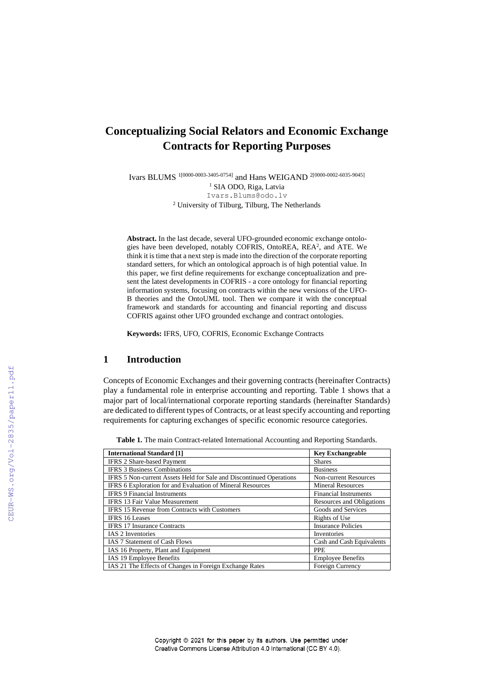# **Conceptualizing Social Relators and Economic Exchange Contracts for Reporting Purposes**

Ivars BLUMS 1[0000-0003-3405-0754] and Hans WEIGAND 2[0000-0002-6035-9045] <sup>1</sup> SIA ODO, Riga, Latvia Ivars.Blums@odo.lv <sup>2</sup> University of Tilburg, Tilburg, The Netherlands

**Abstract.** In the last decade, several UFO-grounded economic exchange ontologies have been developed, notably COFRIS, OntoREA, REA<sup>2</sup>, and ATE. We think it is time that a next step is made into the direction of the corporate reporting standard setters, for which an ontological approach is of high potential value. In this paper, we first define requirements for exchange conceptualization and present the latest developments in COFRIS - a core ontology for financial reporting information systems, focusing on contracts within the new versions of the UFO-B theories and the OntoUML tool. Then we compare it with the conceptual framework and standards for accounting and financial reporting and discuss COFRIS against other UFO grounded exchange and contract ontologies.

**Keywords:** IFRS, UFO, COFRIS, Economic Exchange Contracts

# **1 Introduction**

Concepts of Economic Exchanges and their governing contracts (hereinafter Contracts) play a fundamental role in enterprise accounting and reporting. Table 1 shows that a major part of local/international corporate reporting standards (hereinafter Standards) are dedicated to different types of Contracts, or at least specify accounting and reporting requirements for capturing exchanges of specific economic resource categories.

| <b>International Standard [1]</b>                                   | <b>Key Exchangeable</b>          |  |
|---------------------------------------------------------------------|----------------------------------|--|
| <b>IFRS 2 Share-based Payment</b>                                   | <b>Shares</b>                    |  |
| <b>IFRS 3 Business Combinations</b>                                 | <b>Business</b>                  |  |
| IFRS 5 Non-current Assets Held for Sale and Discontinued Operations | <b>Non-current Resources</b>     |  |
| <b>IFRS 6 Exploration for and Evaluation of Mineral Resources</b>   | <b>Mineral Resources</b>         |  |
| <b>IFRS 9 Financial Instruments</b>                                 | <b>Financial Instruments</b>     |  |
| <b>IFRS 13 Fair Value Measurement</b>                               | <b>Resources and Obligations</b> |  |
| <b>IFRS 15 Revenue from Contracts with Customers</b>                | Goods and Services               |  |
| <b>IFRS</b> 16 Leases                                               | Rights of Use                    |  |
| <b>IFRS 17 Insurance Contracts</b>                                  | <b>Insurance Policies</b>        |  |
| <b>IAS 2 Inventories</b>                                            | Inventories                      |  |
| <b>IAS 7 Statement of Cash Flows</b>                                | Cash and Cash Equivalents        |  |
| IAS 16 Property, Plant and Equipment                                | <b>PPE</b>                       |  |
| IAS 19 Employee Benefits                                            | <b>Employee Benefits</b>         |  |
| IAS 21 The Effects of Changes in Foreign Exchange Rates             | Foreign Currency                 |  |

**Table 1.** The main Contract-related International Accounting and Reporting Standards.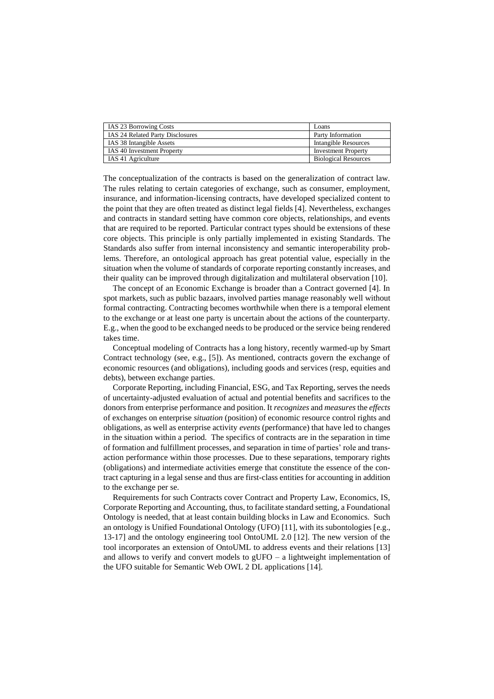| IAS 23 Borrowing Costs                  | Loans                       |
|-----------------------------------------|-----------------------------|
| <b>IAS 24 Related Party Disclosures</b> | Party Information           |
| IAS 38 Intangible Assets                | Intangible Resources        |
| <b>IAS 40 Investment Property</b>       | <b>Investment Property</b>  |
| IAS 41 Agriculture                      | <b>Biological Resources</b> |

The conceptualization of the contracts is based on the generalization of contract law. The rules relating to certain categories of exchange, such as consumer, employment, insurance, and information-licensing contracts, have developed specialized content to the point that they are often treated as distinct legal fields [4]. Nevertheless, exchanges and contracts in standard setting have common core objects, relationships, and events that are required to be reported. Particular contract types should be extensions of these core objects. This principle is only partially implemented in existing Standards. The Standards also suffer from internal inconsistency and semantic interoperability problems. Therefore, an ontological approach has great potential value, especially in the situation when the volume of standards of corporate reporting constantly increases, and their quality can be improved through digitalization and multilateral observation [10].

The concept of an Economic Exchange is broader than a Contract governed [4]. In spot markets, such as public bazaars, involved parties manage reasonably well without formal contracting. Contracting becomes worthwhile when there is a temporal element to the exchange or at least one party is uncertain about the actions of the counterparty. E.g., when the good to be exchanged needs to be produced or the service being rendered takes time.

Conceptual modeling of Contracts has a long history, recently warmed-up by Smart Contract technology (see, e.g., [5]). As mentioned, contracts govern the exchange of economic resources (and obligations), including goods and services (resp, equities and debts), between exchange parties.

Corporate Reporting, including Financial, ESG, and Tax Reporting, serves the needs of uncertainty-adjusted evaluation of actual and potential benefits and sacrifices to the donors from enterprise performance and position. It *recognizes* and *measures* the *effects* of exchanges on enterprise *situation* (position) of economic resource control rights and obligations, as well as enterprise activity *events* (performance) that have led to changes in the situation within a period. The specifics of contracts are in the separation in time of formation and fulfillment processes, and separation in time of parties' role and transaction performance within those processes. Due to these separations, temporary rights (obligations) and intermediate activities emerge that constitute the essence of the contract capturing in a legal sense and thus are first-class entities for accounting in addition to the exchange per se.

Requirements for such Contracts cover Contract and Property Law, Economics, IS, Corporate Reporting and Accounting, thus, to facilitate standard setting, a Foundational Ontology is needed, that at least contain building blocks in Law and Economics. Such an ontology is Unified Foundational Ontology (UFO) [11], with its subontologies [e.g., 13-17] and the ontology engineering tool OntoUML 2.0 [12]. The new version of the tool incorporates an extension of OntoUML to address events and their relations [13] and allows to verify and convert models to  $g$ UFO – a lightweight implementation of the UFO suitable for Semantic Web OWL 2 DL applications [14].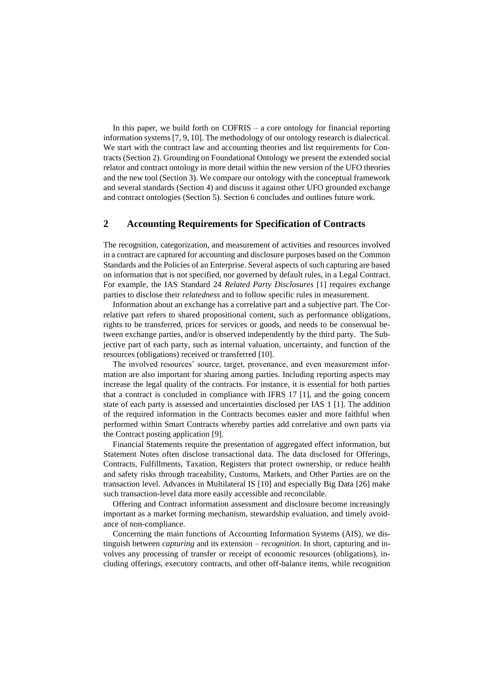In this paper, we build forth on COFRIS – a core ontology for financial reporting information systems [7, 9, 10]. The methodology of our ontology research is dialectical. We start with the contract law and accounting theories and list requirements for Contracts (Section 2). Grounding on Foundational Ontology we present the extended social relator and contract ontology in more detail within the new version of the UFO theories and the new tool (Section 3). We compare our ontology with the conceptual framework and several standards (Section 4) and discuss it against other UFO grounded exchange and contract ontologies (Section 5). Section 6 concludes and outlines future work.

# **2 Accounting Requirements for Specification of Contracts**

The recognition, categorization, and measurement of activities and resources involved in a contract are captured for accounting and disclosure purposes based on the Common Standards and the Policies of an Enterprise. Several aspects of such capturing are based on information that is not specified, nor governed by default rules, in a Legal Contract. For example, the IAS Standard 24 *Related Party Disclosures* [1] requires exchange parties to disclose their *relatedness* and to follow specific rules in measurement.

Information about an exchange has a correlative part and a subjective part. The Correlative part refers to shared propositional content, such as performance obligations, rights to be transferred, prices for services or goods, and needs to be consensual between exchange parties, and/or is observed independently by the third party. The Subjective part of each party, such as internal valuation, uncertainty, and function of the resources (obligations) received or transferred [10].

The involved resources' source, target, provenance, and even measurement information are also important for sharing among parties. Including reporting aspects may increase the legal quality of the contracts. For instance, it is essential for both parties that a contract is concluded in compliance with IFRS 17 [1], and the going concern state of each party is assessed and uncertainties disclosed per IAS 1 [1]. The addition of the required information in the Contracts becomes easier and more faithful when performed within Smart Contracts whereby parties add correlative and own parts via the Contract posting application [9].

Financial Statements require the presentation of aggregated effect information, but Statement Notes often disclose transactional data. The data disclosed for Offerings, Contracts, Fulfillments, Taxation, Registers that protect ownership, or reduce health and safety risks through traceability, Customs, Markets, and Other Parties are on the transaction level. Advances in Multilateral IS [10] and especially Big Data [26] make such transaction-level data more easily accessible and reconcilable.

Offering and Contract information assessment and disclosure become increasingly important as a market forming mechanism, stewardship evaluation, and timely avoidance of non-compliance.

Concerning the main functions of Accounting Information Systems (AIS), we distinguish between *capturing* and its extension – *recognition*. In short, capturing and involves any processing of transfer or receipt of economic resources (obligations), including offerings, executory contracts, and other off-balance items, while recognition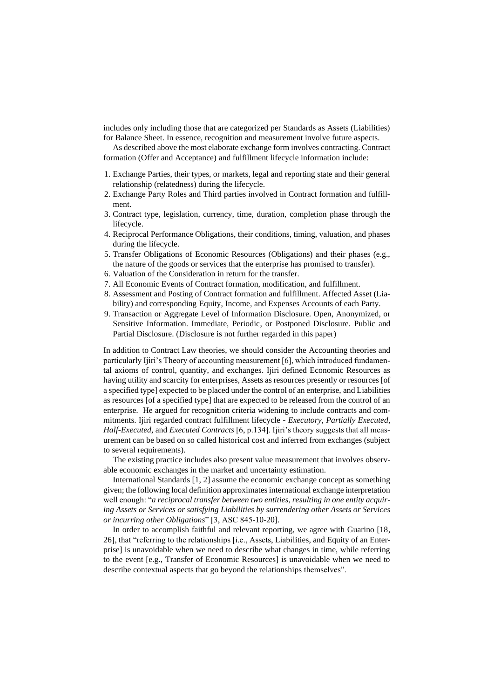includes only including those that are categorized per Standards as Assets (Liabilities) for Balance Sheet. In essence, recognition and measurement involve future aspects.

As described above the most elaborate exchange form involves contracting. Contract formation (Offer and Acceptance) and fulfillment lifecycle information include:

- 1. Exchange Parties, their types, or markets, legal and reporting state and their general relationship (relatedness) during the lifecycle.
- 2. Exchange Party Roles and Third parties involved in Contract formation and fulfillment.
- 3. Contract type, legislation, currency, time, duration, completion phase through the lifecycle.
- 4. Reciprocal Performance Obligations, their conditions, timing, valuation, and phases during the lifecycle.
- 5. Transfer Obligations of Economic Resources (Obligations) and their phases (e.g., the nature of the goods or services that the enterprise has promised to transfer).
- 6. Valuation of the Consideration in return for the transfer.
- 7. All Economic Events of Contract formation, modification, and fulfillment.
- 8. Assessment and Posting of Contract formation and fulfillment. Affected Asset (Liability) and corresponding Equity, Income, and Expenses Accounts of each Party.
- 9. Transaction or Aggregate Level of Information Disclosure. Open, Anonymized, or Sensitive Information. Immediate, Periodic, or Postponed Disclosure. Public and Partial Disclosure. (Disclosure is not further regarded in this paper)

In addition to Contract Law theories, we should consider the Accounting theories and particularly Ijiri's Theory of accounting measurement [6], which introduced fundamental axioms of control, quantity, and exchanges. Ijiri defined Economic Resources as having utility and scarcity for enterprises, Assets as resources presently or resources [of a specified type] expected to be placed under the control of an enterprise, and Liabilities as resources [of a specified type] that are expected to be released from the control of an enterprise. He argued for recognition criteria widening to include contracts and commitments. Ijiri regarded contract fulfillment lifecycle - *Executory*, *Partially Executed*, *Half-Executed*, and *Executed Contracts* [6, p.134]. Ijiri's theory suggests that all measurement can be based on so called historical cost and inferred from exchanges (subject to several requirements).

The existing practice includes also present value measurement that involves observable economic exchanges in the market and uncertainty estimation.

International Standards [1, 2] assume the economic exchange concept as something given; the following local definition approximates international exchange interpretation well enough: "*a reciprocal transfer between two entities, resulting in one entity acquiring Assets or Services or satisfying Liabilities by surrendering other Assets or Services or incurring other Obligations*" [3, ASC 845-10-20].

In order to accomplish faithful and relevant reporting, we agree with Guarino [18, 26], that "referring to the relationships [i.e., Assets, Liabilities, and Equity of an Enterprise] is unavoidable when we need to describe what changes in time, while referring to the event [e.g., Transfer of Economic Resources] is unavoidable when we need to describe contextual aspects that go beyond the relationships themselves".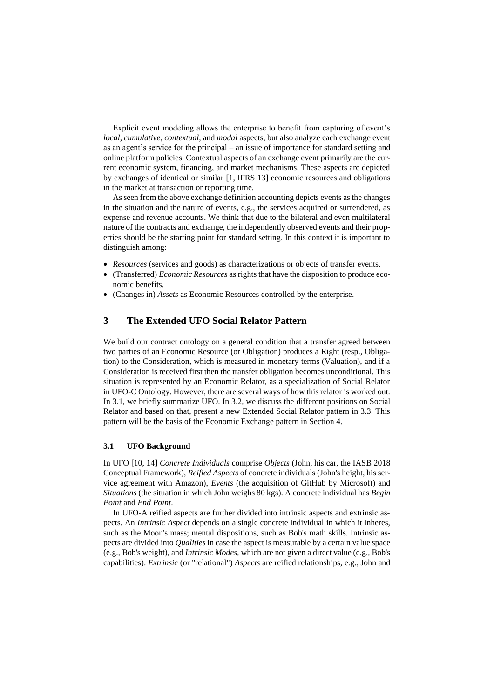Explicit event modeling allows the enterprise to benefit from capturing of event's *local*, *cumulative*, *contextual*, and *modal* aspects, but also analyze each exchange event as an agent's service for the principal – an issue of importance for standard setting and online platform policies. Contextual aspects of an exchange event primarily are the current economic system, financing, and market mechanisms. These aspects are depicted by exchanges of identical or similar [1, IFRS 13] economic resources and obligations in the market at transaction or reporting time.

As seen from the above exchange definition accounting depicts events as the changes in the situation and the nature of events, e.g., the services acquired or surrendered, as expense and revenue accounts. We think that due to the bilateral and even multilateral nature of the contracts and exchange, the independently observed events and their properties should be the starting point for standard setting. In this context it is important to distinguish among:

- *Resources* (services and goods) as characterizations or objects of transfer events,
- (Transferred) *Economic Resources* as rights that have the disposition to produce economic benefits,
- (Changes in) *Assets* as Economic Resources controlled by the enterprise.

## **3 The Extended UFO Social Relator Pattern**

We build our contract ontology on a general condition that a transfer agreed between two parties of an Economic Resource (or Obligation) produces a Right (resp., Obligation) to the Consideration, which is measured in monetary terms (Valuation), and if a Consideration is received first then the transfer obligation becomes unconditional. This situation is represented by an Economic Relator, as a specialization of Social Relator in UFO-C Ontology. However, there are several ways of how this relator is worked out. In 3.1, we briefly summarize UFO. In 3.2, we discuss the different positions on Social Relator and based on that, present a new Extended Social Relator pattern in 3.3. This pattern will be the basis of the Economic Exchange pattern in Section 4.

### **3.1 UFO Background**

In UFO [10, 14] *Concrete Individuals* comprise *Objects* (John, his car, the IASB 2018 Conceptual Framework), *Reified Aspects* of concrete individuals (John's height, his service agreement with Amazon), *Events* (the acquisition of GitHub by Microsoft) and *Situations* (the situation in which John weighs 80 kgs). A concrete individual has *Begin Point* and *End Point*.

In UFO-A reified aspects are further divided into intrinsic aspects and extrinsic aspects. An *Intrinsic Aspect* depends on a single concrete individual in which it inheres, such as the Moon's mass; mental dispositions, such as Bob's math skills. Intrinsic aspects are divided into *Qualities* in case the aspect is measurable by a certain value space (e.g., Bob's weight), and *Intrinsic Modes*, which are not given a direct value (e.g., Bob's capabilities). *Extrinsic* (or "relational") *Aspects* are reified relationships, e.g., John and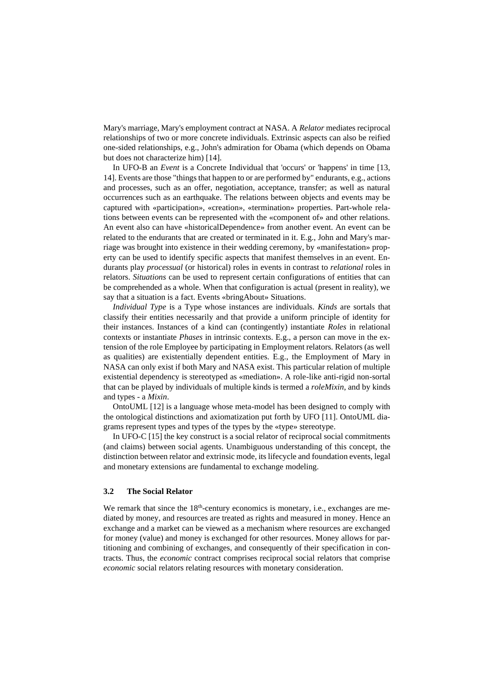Mary's marriage, Mary's employment contract at NASA. A *Relator* mediates reciprocal relationships of two or more concrete individuals. Extrinsic aspects can also be reified one-sided relationships, e.g., John's admiration for Obama (which depends on Obama but does not characterize him) [14].

In UFO-B an *Event* is a Concrete Individual that 'occurs' or 'happens' in time [13, 14]. Events are those "things that happen to or are performed by" endurants, e.g., actions and processes, such as an offer, negotiation, acceptance, transfer; as well as natural occurrences such as an earthquake. The relations between objects and events may be captured with «participation», «creation», «termination» properties. Part-whole relations between events can be represented with the «component of» and other relations. An event also can have «historicalDependence» from another event. An event can be related to the endurants that are created or terminated in it. E.g., John and Mary's marriage was brought into existence in their wedding ceremony, by «manifestation» property can be used to identify specific aspects that manifest themselves in an event. Endurants play *processual* (or historical) roles in events in contrast to *relational* roles in relators. *Situations* can be used to represent certain configurations of entities that can be comprehended as a whole. When that configuration is actual (present in reality), we say that a situation is a fact. Events «bringAbout» Situations.

*Individual Type* is a Type whose instances are individuals. *Kinds* are sortals that classify their entities necessarily and that provide a uniform principle of identity for their instances. Instances of a kind can (contingently) instantiate *Roles* in relational contexts or instantiate *Phases* in intrinsic contexts. E.g., a person can move in the extension of the role Employee by participating in Employment relators. Relators (as well as qualities) are existentially dependent entities. E.g., the Employment of Mary in NASA can only exist if both Mary and NASA exist. This particular relation of multiple existential dependency is stereotyped as «mediation». A role-like anti-rigid non-sortal that can be played by individuals of multiple kinds is termed a *roleMixin*, and by kinds and types - a *Mixin*.

OntoUML [12] is a language whose meta-model has been designed to comply with the ontological distinctions and axiomatization put forth by UFO [11]. OntoUML diagrams represent types and types of the types by the «type» stereotype.

In UFO-C [15] the key construct is a social relator of reciprocal social commitments (and claims) between social agents. Unambiguous understanding of this concept, the distinction between relator and extrinsic mode, its lifecycle and foundation events, legal and monetary extensions are fundamental to exchange modeling.

### **3.2 The Social Relator**

We remark that since the  $18<sup>th</sup>$ -century economics is monetary, i.e., exchanges are mediated by money, and resources are treated as rights and measured in money. Hence an exchange and a market can be viewed as a mechanism where resources are exchanged for money (value) and money is exchanged for other resources. Money allows for partitioning and combining of exchanges, and consequently of their specification in contracts. Thus, the *economic* contract comprises reciprocal social relators that comprise *economic* social relators relating resources with monetary consideration.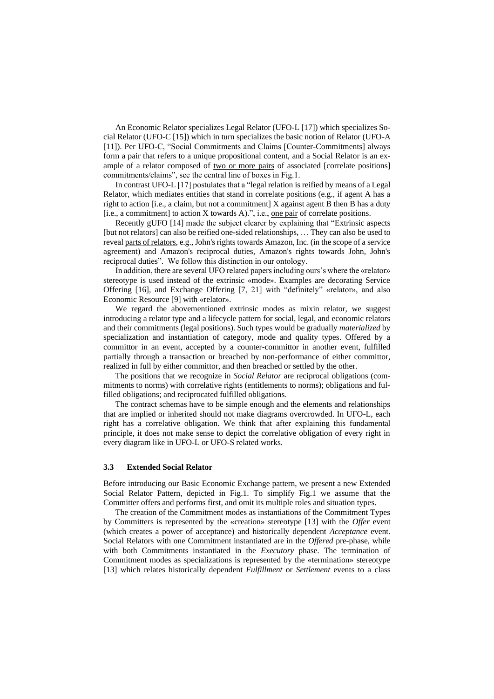An Economic Relator specializes Legal Relator (UFO-L [17]) which specializes Social Relator (UFO-C [15]) which in turn specializes the basic notion of Relator (UFO-A [11]). Per UFO-C, "Social Commitments and Claims [Counter-Commitments] always form a pair that refers to a unique propositional content, and a Social Relator is an example of a relator composed of two or more pairs of associated [correlate positions] commitments/claims", see the central line of boxes in Fig.1.

In contrast UFO-L [17] postulates that a "legal relation is reified by means of a Legal Relator, which mediates entities that stand in correlate positions (e.g., if agent A has a right to action [i.e., a claim, but not a commitment] X against agent B then B has a duty [i.e., a commitment] to action X towards A).", i.e., one pair of correlate positions.

Recently gUFO [14] made the subject clearer by explaining that "Extrinsic aspects [but not relators] can also be reified one-sided relationships, … They can also be used to reveal parts of relators, e.g., John's rights towards Amazon, Inc. (in the scope of a service agreement) and Amazon's reciprocal duties, Amazon's rights towards John, John's reciprocal duties". We follow this distinction in our ontology.

In addition, there are several UFO related papers including ours's where the «relator» stereotype is used instead of the extrinsic «mode». Examples are decorating Service Offering [16], and Exchange Offering [7, 21] with "definitely" «relator», and also Economic Resource [9] with «relator».

We regard the abovementioned extrinsic modes as mixin relator, we suggest introducing a relator type and a lifecycle pattern for social, legal, and economic relators and their commitments (legal positions). Such types would be gradually *materialized* by specialization and instantiation of category, mode and quality types. Offered by a committor in an event, accepted by a counter-committor in another event, fulfilled partially through a transaction or breached by non-performance of either committor, realized in full by either committor, and then breached or settled by the other.

The positions that we recognize in *Social Relator* are reciprocal obligations (commitments to norms) with correlative rights (entitlements to norms); obligations and fulfilled obligations; and reciprocated fulfilled obligations.

The contract schemas have to be simple enough and the elements and relationships that are implied or inherited should not make diagrams overcrowded. In UFO-L, each right has a correlative obligation. We think that after explaining this fundamental principle, it does not make sense to depict the correlative obligation of every right in every diagram like in UFO-L or UFO-S related works.

#### **3.3 Extended Social Relator**

Before introducing our Basic Economic Exchange pattern, we present a new Extended Social Relator Pattern, depicted in Fig.1. To simplify Fig.1 we assume that the Committer offers and performs first, and omit its multiple roles and situation types.

The creation of the Commitment modes as instantiations of the Commitment Types by Committers is represented by the «creation» stereotype [13] with the *Offer* event (which creates a power of acceptance) and historically dependent *Acceptance* event. Social Relators with one Commitment instantiated are in the *Offered* pre-phase, while with both Commitments instantiated in the *Executory* phase. The termination of Commitment modes as specializations is represented by the «termination» stereotype [13] which relates historically dependent *Fulfillment* or *Settlement* events to a class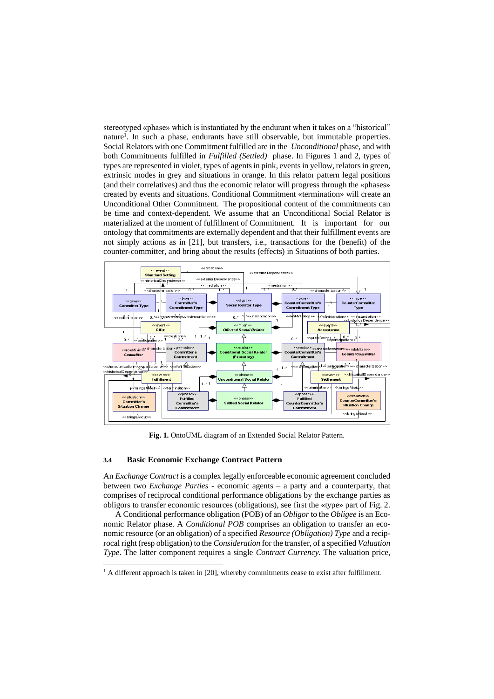stereotyped «phase» which is instantiated by the endurant when it takes on a "historical" nature<sup>1</sup>. In such a phase, endurants have still observable, but immutable properties. Social Relators with one Commitment fulfilled are in the *Unconditional* phase, and with both Commitments fulfilled in *Fulfilled (Settled)* phase. In Figures 1 and 2, types of types are represented in violet, types of agents in pink, events in yellow, relators in green, extrinsic modes in grey and situations in orange. In this relator pattern legal positions (and their correlatives) and thus the economic relator will progress through the «phases» created by events and situations. Conditional Commitment «termination» will create an Unconditional Other Commitment. The propositional content of the commitments can be time and context-dependent. We assume that an Unconditional Social Relator is materialized at the moment of fulfillment of Commitment. It is important for our ontology that commitments are externally dependent and that their fulfillment events are not simply actions as in [21], but transfers, i.e., transactions for the (benefit) of the counter-committer, and bring about the results (effects) in Situations of both parties.



**Fig. 1.** OntoUML diagram of an Extended Social Relator Pattern.

### **3.4 Basic Economic Exchange Contract Pattern**

An *Exchange Contract* is a complex legally enforceable economic agreement concluded between two *Exchange Parties* - economic agents – a party and a counterparty, that comprises of reciprocal conditional performance obligations by the exchange parties as obligors to transfer economic resources (obligations), see first the «type» part of Fig. 2.

A Conditional performance obligation (POB) of an *Obligor* to the *Obligee* is an Economic Relator phase. A *Conditional POB* comprises an obligation to transfer an economic resource (or an obligation) of a specified *Resource (Obligation) Type* and a reciprocal right (resp obligation) to the *Consideration* for the transfer, of a specified *Valuation Type*. The latter component requires a single *Contract Currency*. The valuation price,

 $<sup>1</sup>$  A different approach is taken in [20], whereby commitments cease to exist after fulfillment.</sup>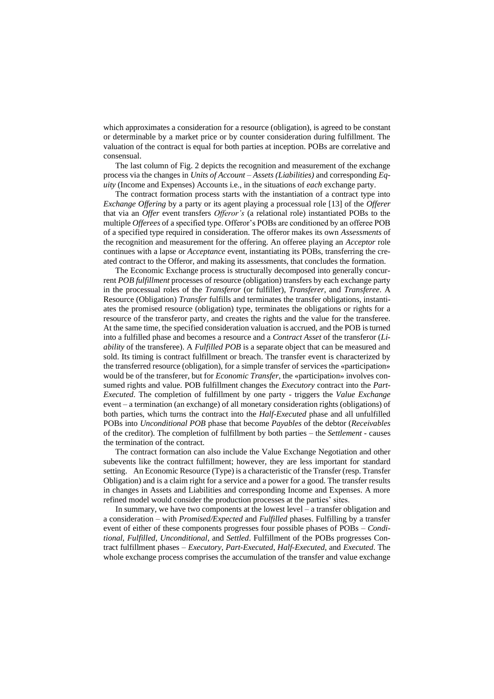which approximates a consideration for a resource (obligation), is agreed to be constant or determinable by a market price or by counter consideration during fulfillment. The valuation of the contract is equal for both parties at inception. POBs are correlative and consensual.

The last column of Fig. 2 depicts the recognition and measurement of the exchange process via the changes in *Units of Account* – *Assets (Liabilities)* and corresponding *Equity* (Income and Expenses) Accounts i.e., in the situations of *each* exchange party.

The contract formation process starts with the instantiation of a contract type into *Exchange Offering* by a party or its agent playing a processual role [13] of the *Offerer* that via an *Offer* event transfers *Offeror's* (a relational role) instantiated POBs to the multiple *Offerees* of a specified type. Offeror's POBs are conditioned by an offeree POB of a specified type required in consideration. The offeror makes its own *Assessments* of the recognition and measurement for the offering. An offeree playing an *Acceptor* role continues with a lapse or *Acceptance* event, instantiating its POBs, transferring the created contract to the Offeror, and making its assessments, that concludes the formation.

The Economic Exchange process is structurally decomposed into generally concurrent *POB fulfillment* processes of resource (obligation) transfers by each exchange party in the processual roles of the *Transferor* (or fulfiller), *Transferer*, and *Transferee*. A Resource (Obligation) *Transfer* fulfills and terminates the transfer obligations, instantiates the promised resource (obligation) type, terminates the obligations or rights for a resource of the transferor party, and creates the rights and the value for the transferee. At the same time, the specified consideration valuation is accrued, and the POB is turned into a fulfilled phase and becomes a resource and a *Contract Asset* of the transferor (*Liability* of the transferee). A *Fulfilled POB* is a separate object that can be measured and sold. Its timing is contract fulfillment or breach. The transfer event is characterized by the transferred resource (obligation), for a simple transfer of services the «participation» would be of the transferer, but for *Economic Transfer*, the «participation» involves consumed rights and value. POB fulfillment changes the *Executory* contract into the *Part-Executed*. The completion of fulfillment by one party - triggers the *Value Exchange*  event – a termination (an exchange) of all monetary consideration rights (obligations) of both parties, which turns the contract into the *Half-Executed* phase and all unfulfilled POBs into *Unconditional POB* phase that become *Payables* of the debtor (*Receivables* of the creditor). The completion of fulfillment by both parties – the *Settlement* - causes the termination of the contract.

The contract formation can also include the Value Exchange Negotiation and other subevents like the contract fulfillment; however, they are less important for standard setting. An Economic Resource (Type) is a characteristic of the Transfer (resp. Transfer Obligation) and is a claim right for a service and a power for a good. The transfer results in changes in Assets and Liabilities and corresponding Income and Expenses. A more refined model would consider the production processes at the parties' sites.

In summary, we have two components at the lowest level – a transfer obligation and a consideration – with *Promised/Expected* and *Fulfilled* phases. Fulfilling by a transfer event of either of these components progresses four possible phases of POBs – *Conditional*, *Fulfilled*, *Unconditional*, and *Settled*. Fulfillment of the POBs progresses Contract fulfillment phases – *Executory*, *Part-Executed*, *Half-Executed*, and *Executed*. The whole exchange process comprises the accumulation of the transfer and value exchange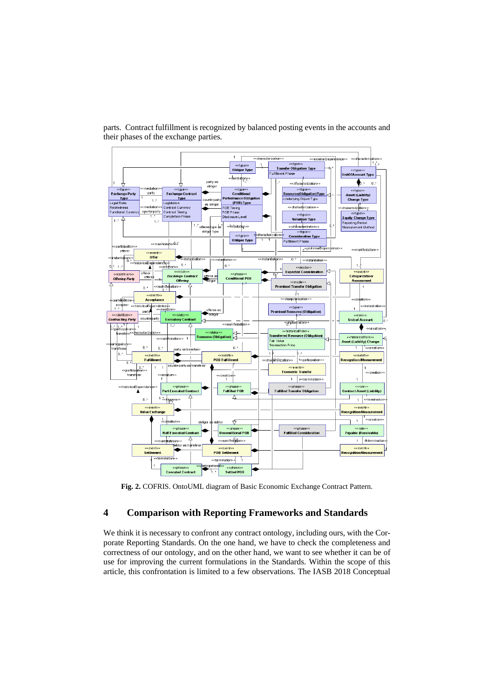

parts. Contract fulfillment is recognized by balanced posting events in the accounts and their phases of the exchange parties.

**Fig. 2.** COFRIS. OntoUML diagram of Basic Economic Exchange Contract Pattern.

# **4 Comparison with Reporting Frameworks and Standards**

We think it is necessary to confront any contract ontology, including ours, with the Corporate Reporting Standards. On the one hand, we have to check the completeness and correctness of our ontology, and on the other hand, we want to see whether it can be of use for improving the current formulations in the Standards. Within the scope of this article, this confrontation is limited to a few observations. The IASB 2018 Conceptual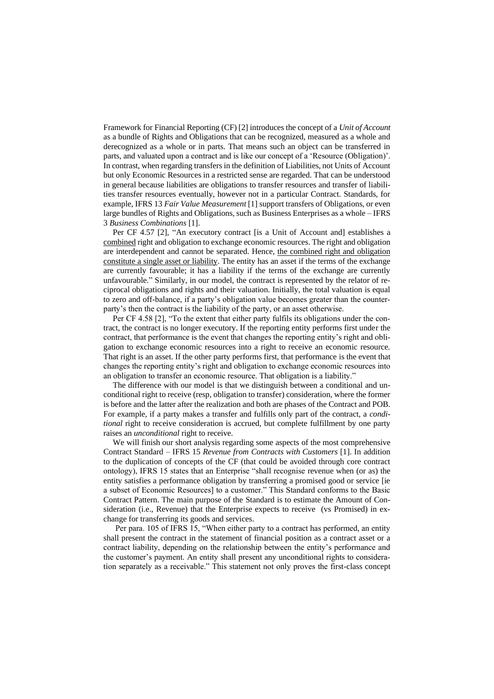Framework for Financial Reporting (CF) [2] introduces the concept of a *Unit of Account* as a bundle of Rights and Obligations that can be recognized, measured as a whole and derecognized as a whole or in parts. That means such an object can be transferred in parts, and valuated upon a contract and is like our concept of a 'Resource (Obligation)'. In contrast, when regarding transfers in the definition of Liabilities, not Units of Account but only Economic Resources in a restricted sense are regarded. That can be understood in general because liabilities are obligations to transfer resources and transfer of liabilities transfer resources eventually, however not in a particular Contract. Standards, for example, IFRS 13 *Fair Value Measurement* [1] support transfers of Obligations, or even large bundles of Rights and Obligations, such as Business Enterprises as a whole – IFRS 3 *Business Combinations* [1].

Per CF 4.57 [2], "An executory contract [is a Unit of Account and] establishes a combined right and obligation to exchange economic resources. The right and obligation are interdependent and cannot be separated. Hence, the combined right and obligation constitute a single asset or liability. The entity has an asset if the terms of the exchange are currently favourable; it has a liability if the terms of the exchange are currently unfavourable." Similarly, in our model, the contract is represented by the relator of reciprocal obligations and rights and their valuation. Initially, the total valuation is equal to zero and off-balance, if a party's obligation value becomes greater than the counterparty's then the contract is the liability of the party, or an asset otherwise.

Per CF 4.58 [2], "To the extent that either party fulfils its obligations under the contract, the contract is no longer executory. If the reporting entity performs first under the contract, that performance is the event that changes the reporting entity's right and obligation to exchange economic resources into a right to receive an economic resource. That right is an asset. If the other party performs first, that performance is the event that changes the reporting entity's right and obligation to exchange economic resources into an obligation to transfer an economic resource. That obligation is a liability."

The difference with our model is that we distinguish between a conditional and unconditional right to receive (resp, obligation to transfer) consideration, where the former is before and the latter after the realization and both are phases of the Contract and POB. For example, if a party makes a transfer and fulfills only part of the contract, a *conditional* right to receive consideration is accrued, but complete fulfillment by one party raises an *unconditional* right to receive.

We will finish our short analysis regarding some aspects of the most comprehensive Contract Standard – IFRS 15 *Revenue from Contracts with Customers* [1]. In addition to the duplication of concepts of the CF (that could be avoided through core contract ontology), IFRS 15 states that an Enterprise "shall recognise revenue when (or as) the entity satisfies a performance obligation by transferring a promised good or service [ie a subset of Economic Resources] to a customer." This Standard conforms to the Basic Contract Pattern. The main purpose of the Standard is to estimate the Amount of Consideration (i.e., Revenue) that the Enterprise expects to receive (vs Promised) in exchange for transferring its goods and services.

Per para. 105 of IFRS 15, "When either party to a contract has performed, an entity shall present the contract in the statement of financial position as a contract asset or a contract liability, depending on the relationship between the entity's performance and the customer's payment. An entity shall present any unconditional rights to consideration separately as a receivable." This statement not only proves the first-class concept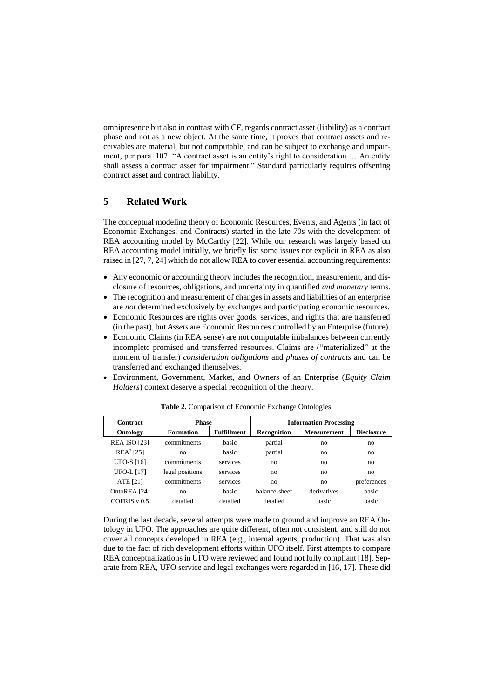omnipresence but also in contrast with CF, regards contract asset (liability) as a contract phase and not as a new object. At the same time, it proves that contract assets and receivables are material, but not computable, and can be subject to exchange and impairment, per para. 107: "A contract asset is an entity's right to consideration … An entity shall assess a contract asset for impairment." Standard particularly requires offsetting contract asset and contract liability.

### **5 Related Work**

The conceptual modeling theory of Economic Resources, Events, and Agents (in fact of Economic Exchanges, and Contracts) started in the late 70s with the development of REA accounting model by McCarthy [22]. While our research was largely based on REA accounting model initially, we briefly list some issues not explicit in REA as also raised in [27, 7, 24] which do not allow REA to cover essential accounting requirements:

- Any economic or accounting theory includes the recognition, measurement, and disclosure of resources, obligations, and uncertainty in quantified *and monetary* terms.
- The recognition and measurement of changes in assets and liabilities of an enterprise are *not* determined exclusively by exchanges and participating economic resources.
- Economic Resources are rights over goods, services, and rights that are transferred (in the past), but *Assets* are Economic Resources controlled by an Enterprise (future).
- Economic Claims (in REA sense) are not computable imbalances between currently incomplete promised and transferred resources. Claims are ("materialized" at the moment of transfer) *consideration obligations* and *phases of contracts* and can be transferred and exchanged themselves.
- Environment, Government, Market, and Owners of an Enterprise (*Equity Claim Holders*) context deserve a special recognition of the theory.

| Contract                | <b>Phase</b>    |                    |                    | <b>Information Processing</b> |                   |
|-------------------------|-----------------|--------------------|--------------------|-------------------------------|-------------------|
| Ontology                | Formation       | <b>Fulfillment</b> | <b>Recognition</b> | <b>Measurement</b>            | <b>Disclosure</b> |
| <b>REA ISO [23]</b>     | commitments     | hasic              | partial            | no                            | no                |
| REA <sup>2</sup> [25]   | no              | hasic              | partial            | no                            | no                |
| <b>UFO-S</b> [16]       | commitments     | services           | no                 | no                            | no                |
| <b>UFO-L</b> [17]       | legal positions | services           | no                 | no                            | no                |
| ATE [21]                | commitments     | services           | no                 | no                            | preferences       |
| OntoREA <sub>[24]</sub> | no              | hasic              | balance-sheet      | derivatives                   | basic             |
| COFRIS $v$ 0.5          | detailed        | detailed           | detailed           | basic                         | basic             |

**Table 2.** Comparison of Economic Exchange Ontologies.

During the last decade, several attempts were made to ground and improve an REA Ontology in UFO. The approaches are quite different, often not consistent, and still do not cover all concepts developed in REA (e.g., internal agents, production). That was also due to the fact of rich development efforts within UFO itself. First attempts to compare REA conceptualizations in UFO were reviewed and found not fully compliant [18]. Separate from REA, UFO service and legal exchanges were regarded in [16, 17]. These did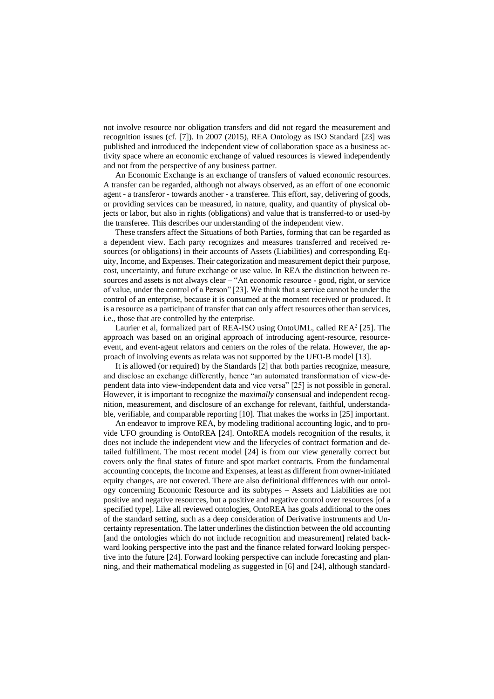not involve resource nor obligation transfers and did not regard the measurement and recognition issues (cf. [7]). In 2007 (2015), REA Ontology as ISO Standard [23] was published and introduced the independent view of collaboration space as a business activity space where an economic exchange of valued resources is viewed independently and not from the perspective of any business partner.

An Economic Exchange is an exchange of transfers of valued economic resources. A transfer can be regarded, although not always observed, as an effort of one economic agent - a transferor - towards another - a transferee. This effort, say, delivering of goods, or providing services can be measured, in nature, quality, and quantity of physical objects or labor, but also in rights (obligations) and value that is transferred-to or used-by the transferee. This describes our understanding of the independent view.

These transfers affect the Situations of both Parties, forming that can be regarded as a dependent view. Each party recognizes and measures transferred and received resources (or obligations) in their accounts of Assets (Liabilities) and corresponding Equity, Income, and Expenses. Their categorization and measurement depict their purpose, cost, uncertainty, and future exchange or use value. In REA the distinction between resources and assets is not always clear – "An economic resource - good, right, or service of value, under the control of a Person" [23]. We think that a service cannot be under the control of an enterprise, because it is consumed at the moment received or produced. It is a resource as a participant of transfer that can only affect resources other than services, i.e., those that are controlled by the enterprise.

Laurier et al, formalized part of REA-ISO using OntoUML, called REA<sup>2</sup> [25]. The approach was based on an original approach of introducing agent-resource, resourceevent, and event-agent relators and centers on the roles of the relata. However, the approach of involving events as relata was not supported by the UFO-B model [13].

It is allowed (or required) by the Standards [2] that both parties recognize, measure, and disclose an exchange differently, hence "an automated transformation of view-dependent data into view-independent data and vice versa" [25] is not possible in general. However, it is important to recognize the *maximally* consensual and independent recognition, measurement, and disclosure of an exchange for relevant, faithful, understandable, verifiable, and comparable reporting [10]. That makes the works in [25] important.

An endeavor to improve REA, by modeling traditional accounting logic, and to provide UFO grounding is OntoREA [24]. OntoREA models recognition of the results, it does not include the independent view and the lifecycles of contract formation and detailed fulfillment. The most recent model [24] is from our view generally correct but covers only the final states of future and spot market contracts. From the fundamental accounting concepts, the Income and Expenses, at least as different from owner-initiated equity changes, are not covered. There are also definitional differences with our ontology concerning Economic Resource and its subtypes – Assets and Liabilities are not positive and negative resources, but a positive and negative control over resources [of a specified type]. Like all reviewed ontologies, OntoREA has goals additional to the ones of the standard setting, such as a deep consideration of Derivative instruments and Uncertainty representation. The latter underlines the distinction between the old accounting [and the ontologies which do not include recognition and measurement] related backward looking perspective into the past and the finance related forward looking perspective into the future [24]. Forward looking perspective can include forecasting and planning, and their mathematical modeling as suggested in [6] and [24], although standard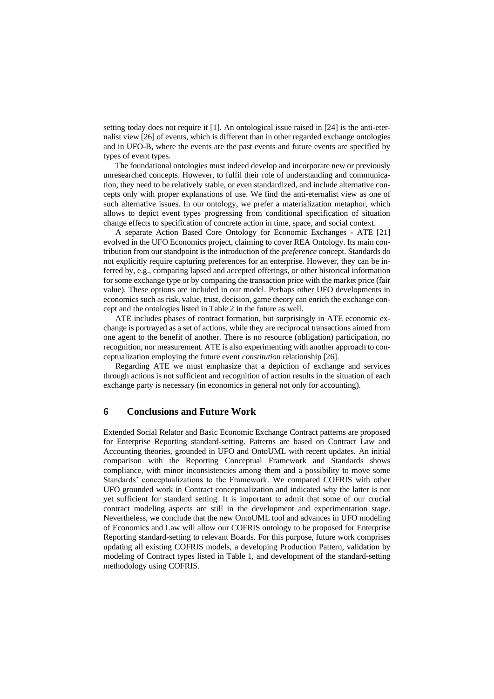setting today does not require it  $[1]$ . An ontological issue raised in  $[24]$  is the anti-eternalist view [26] of events, which is different than in other regarded exchange ontologies and in UFO-B, where the events are the past events and future events are specified by types of event types.

The foundational ontologies must indeed develop and incorporate new or previously unresearched concepts. However, to fulfil their role of understanding and communication, they need to be relatively stable, or even standardized, and include alternative concepts only with proper explanations of use. We find the anti-eternalist view as one of such alternative issues. In our ontology, we prefer a materialization metaphor, which allows to depict event types progressing from conditional specification of situation change effects to specification of concrete action in time, space, and social context.

A separate Action Based Core Ontology for Economic Exchanges - ATE [21] evolved in the UFO Economics project, claiming to cover REA Ontology. Its main contribution from our standpoint is the introduction of the *preference* concept. Standards do not explicitly require capturing preferences for an enterprise. However, they can be inferred by, e.g., comparing lapsed and accepted offerings, or other historical information for some exchange type or by comparing the transaction price with the market price (fair value). These options are included in our model. Perhaps other UFO developments in economics such as risk, value, trust, decision, game theory can enrich the exchange concept and the ontologies listed in Table 2 in the future as well.

ATE includes phases of contract formation, but surprisingly in ATE economic exchange is portrayed as a set of actions, while they are reciprocal transactions aimed from one agent to the benefit of another. There is no resource (obligation) participation, no recognition, nor measurement. ATE is also experimenting with another approach to conceptualization employing the future event *constitution* relationship [26].

Regarding ATE we must emphasize that a depiction of exchange and services through actions is not sufficient and recognition of action results in the situation of each exchange party is necessary (in economics in general not only for accounting).

### **6 Conclusions and Future Work**

Extended Social Relator and Basic Economic Exchange Contract patterns are proposed for Enterprise Reporting standard-setting. Patterns are based on Contract Law and Accounting theories, grounded in UFO and OntoUML with recent updates. An initial comparison with the Reporting Conceptual Framework and Standards shows compliance, with minor inconsistencies among them and a possibility to move some Standards' conceptualizations to the Framework. We compared COFRIS with other UFO grounded work in Contract conceptualization and indicated why the latter is not yet sufficient for standard setting. It is important to admit that some of our crucial contract modeling aspects are still in the development and experimentation stage. Nevertheless, we conclude that the new OntoUML tool and advances in UFO modeling of Economics and Law will allow our COFRIS ontology to be proposed for Enterprise Reporting standard-setting to relevant Boards. For this purpose, future work comprises updating all existing COFRIS models, a developing Production Pattern, validation by modeling of Contract types listed in Table 1, and development of the standard-setting methodology using COFRIS.